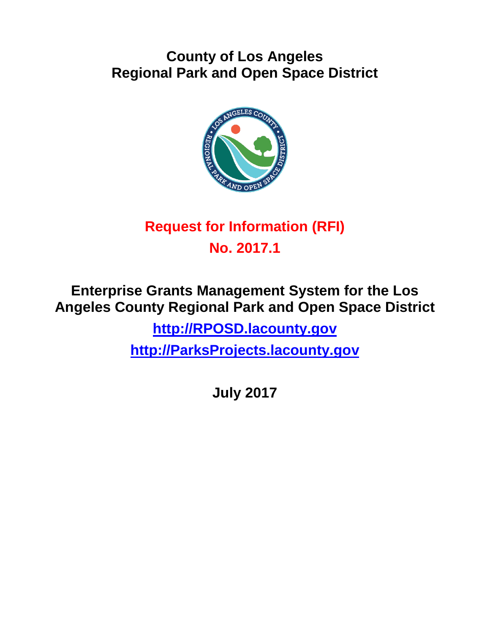## **County of Los Angeles Regional Park and Open Space District**



# **Request for Information (RFI) No. 2017.1**

**Enterprise Grants Management System for the Los Angeles County Regional Park and Open Space District [http://RPOSD.lacounty.gov](http://rposd.lacounty.gov/) [http://ParksProjects.lacounty.gov](http://parksprojects.lacounty.gov/)**

**July 2017**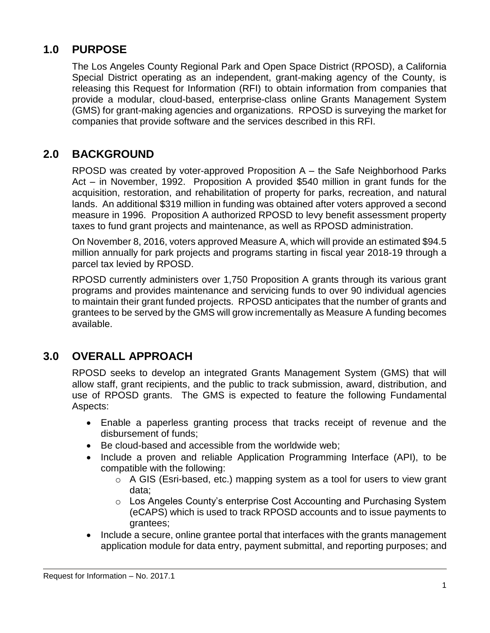## **1.0 PURPOSE**

The Los Angeles County Regional Park and Open Space District (RPOSD), a California Special District operating as an independent, grant-making agency of the County, is releasing this Request for Information (RFI) to obtain information from companies that provide a modular, cloud-based, enterprise-class online Grants Management System (GMS) for grant-making agencies and organizations. RPOSD is surveying the market for companies that provide software and the services described in this RFI.

## **2.0 BACKGROUND**

RPOSD was created by voter-approved Proposition A – the Safe Neighborhood Parks Act – in November, 1992. Proposition A provided \$540 million in grant funds for the acquisition, restoration, and rehabilitation of property for parks, recreation, and natural lands. An additional \$319 million in funding was obtained after voters approved a second measure in 1996. Proposition A authorized RPOSD to levy benefit assessment property taxes to fund grant projects and maintenance, as well as RPOSD administration.

On November 8, 2016, voters approved Measure A, which will provide an estimated \$94.5 million annually for park projects and programs starting in fiscal year 2018-19 through a parcel tax levied by RPOSD.

RPOSD currently administers over 1,750 Proposition A grants through its various grant programs and provides maintenance and servicing funds to over 90 individual agencies to maintain their grant funded projects. RPOSD anticipates that the number of grants and grantees to be served by the GMS will grow incrementally as Measure A funding becomes available.

## **3.0 OVERALL APPROACH**

RPOSD seeks to develop an integrated Grants Management System (GMS) that will allow staff, grant recipients, and the public to track submission, award, distribution, and use of RPOSD grants. The GMS is expected to feature the following Fundamental Aspects:

- Enable a paperless granting process that tracks receipt of revenue and the disbursement of funds;
- Be cloud-based and accessible from the worldwide web;
- Include a proven and reliable Application Programming Interface (API), to be compatible with the following:
	- o A GIS (Esri-based, etc.) mapping system as a tool for users to view grant data;
	- o Los Angeles County's enterprise Cost Accounting and Purchasing System (eCAPS) which is used to track RPOSD accounts and to issue payments to grantees;
- Include a secure, online grantee portal that interfaces with the grants management application module for data entry, payment submittal, and reporting purposes; and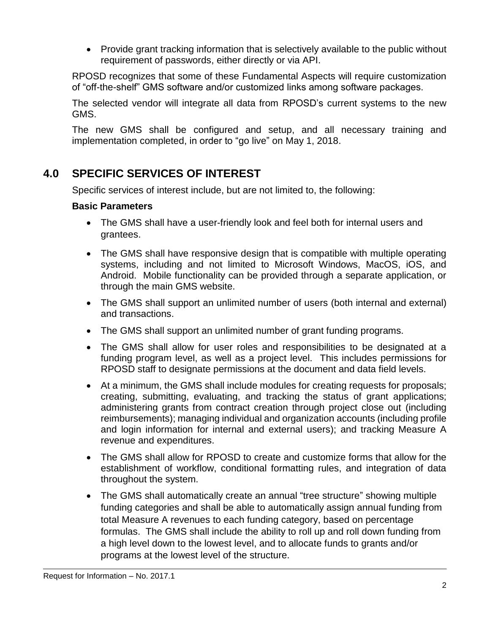• Provide grant tracking information that is selectively available to the public without requirement of passwords, either directly or via API.

RPOSD recognizes that some of these Fundamental Aspects will require customization of "off-the-shelf" GMS software and/or customized links among software packages.

The selected vendor will integrate all data from RPOSD's current systems to the new GMS.

The new GMS shall be configured and setup, and all necessary training and implementation completed, in order to "go live" on May 1, 2018.

## **4.0 SPECIFIC SERVICES OF INTEREST**

Specific services of interest include, but are not limited to, the following:

#### **Basic Parameters**

- The GMS shall have a user-friendly look and feel both for internal users and grantees.
- The GMS shall have responsive design that is compatible with multiple operating systems, including and not limited to Microsoft Windows, MacOS, iOS, and Android. Mobile functionality can be provided through a separate application, or through the main GMS website.
- The GMS shall support an unlimited number of users (both internal and external) and transactions.
- The GMS shall support an unlimited number of grant funding programs.
- The GMS shall allow for user roles and responsibilities to be designated at a funding program level, as well as a project level. This includes permissions for RPOSD staff to designate permissions at the document and data field levels.
- At a minimum, the GMS shall include modules for creating requests for proposals; creating, submitting, evaluating, and tracking the status of grant applications; administering grants from contract creation through project close out (including reimbursements); managing individual and organization accounts (including profile and login information for internal and external users); and tracking Measure A revenue and expenditures.
- The GMS shall allow for RPOSD to create and customize forms that allow for the establishment of workflow, conditional formatting rules, and integration of data throughout the system.
- The GMS shall automatically create an annual "tree structure" showing multiple funding categories and shall be able to automatically assign annual funding from total Measure A revenues to each funding category, based on percentage formulas. The GMS shall include the ability to roll up and roll down funding from a high level down to the lowest level, and to allocate funds to grants and/or programs at the lowest level of the structure.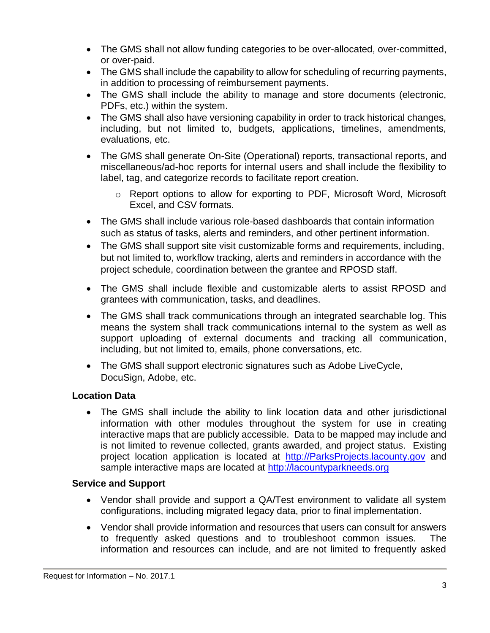- The GMS shall not allow funding categories to be over-allocated, over-committed, or over-paid.
- The GMS shall include the capability to allow for scheduling of recurring payments, in addition to processing of reimbursement payments.
- The GMS shall include the ability to manage and store documents (electronic, PDFs, etc.) within the system.
- The GMS shall also have versioning capability in order to track historical changes, including, but not limited to, budgets, applications, timelines, amendments, evaluations, etc.
- The GMS shall generate On-Site (Operational) reports, transactional reports, and miscellaneous/ad-hoc reports for internal users and shall include the flexibility to label, tag, and categorize records to facilitate report creation.
	- o Report options to allow for exporting to PDF, Microsoft Word, Microsoft Excel, and CSV formats.
- The GMS shall include various role-based dashboards that contain information such as status of tasks, alerts and reminders, and other pertinent information.
- The GMS shall support site visit customizable forms and requirements, including, but not limited to, workflow tracking, alerts and reminders in accordance with the project schedule, coordination between the grantee and RPOSD staff.
- The GMS shall include flexible and customizable alerts to assist RPOSD and grantees with communication, tasks, and deadlines.
- The GMS shall track communications through an integrated searchable log. This means the system shall track communications internal to the system as well as support uploading of external documents and tracking all communication, including, but not limited to, emails, phone conversations, etc.
- The GMS shall support electronic signatures such as Adobe LiveCycle, DocuSign, Adobe, etc.

#### **Location Data**

 The GMS shall include the ability to link location data and other jurisdictional information with other modules throughout the system for use in creating interactive maps that are publicly accessible. Data to be mapped may include and is not limited to revenue collected, grants awarded, and project status. Existing project location application is located at [http://ParksProjects.lacounty.gov](http://parksprojects.lacounty.gov/) and sample interactive maps are located at [http://lacountyparkneeds.org](http://lacountyparkneeds.org/)

#### **Service and Support**

- Vendor shall provide and support a QA/Test environment to validate all system configurations, including migrated legacy data, prior to final implementation.
- Vendor shall provide information and resources that users can consult for answers to frequently asked questions and to troubleshoot common issues. The information and resources can include, and are not limited to frequently asked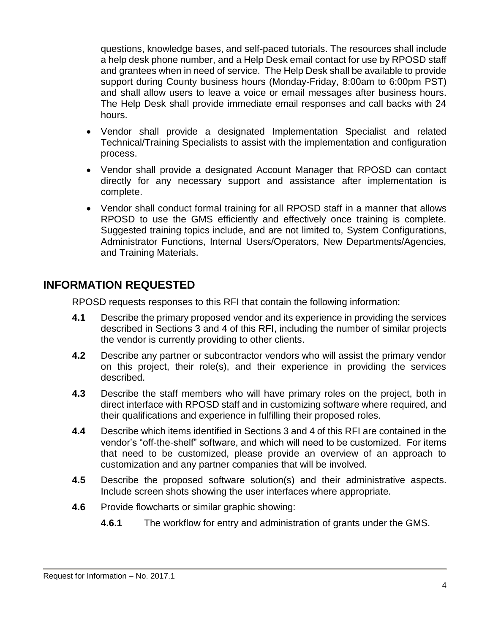questions, knowledge bases, and self-paced tutorials. The resources shall include a help desk phone number, and a Help Desk email contact for use by RPOSD staff and grantees when in need of service. The Help Desk shall be available to provide support during County business hours (Monday-Friday, 8:00am to 6:00pm PST) and shall allow users to leave a voice or email messages after business hours. The Help Desk shall provide immediate email responses and call backs with 24 hours.

- Vendor shall provide a designated Implementation Specialist and related Technical/Training Specialists to assist with the implementation and configuration process.
- Vendor shall provide a designated Account Manager that RPOSD can contact directly for any necessary support and assistance after implementation is complete.
- Vendor shall conduct formal training for all RPOSD staff in a manner that allows RPOSD to use the GMS efficiently and effectively once training is complete. Suggested training topics include, and are not limited to, System Configurations, Administrator Functions, Internal Users/Operators, New Departments/Agencies, and Training Materials.

### **INFORMATION REQUESTED**

RPOSD requests responses to this RFI that contain the following information:

- **4.1** Describe the primary proposed vendor and its experience in providing the services described in Sections 3 and 4 of this RFI, including the number of similar projects the vendor is currently providing to other clients.
- **4.2** Describe any partner or subcontractor vendors who will assist the primary vendor on this project, their role(s), and their experience in providing the services described.
- **4.3** Describe the staff members who will have primary roles on the project, both in direct interface with RPOSD staff and in customizing software where required, and their qualifications and experience in fulfilling their proposed roles.
- **4.4** Describe which items identified in Sections 3 and 4 of this RFI are contained in the vendor's "off-the-shelf" software, and which will need to be customized. For items that need to be customized, please provide an overview of an approach to customization and any partner companies that will be involved.
- **4.5** Describe the proposed software solution(s) and their administrative aspects. Include screen shots showing the user interfaces where appropriate.
- **4.6** Provide flowcharts or similar graphic showing:
	- **4.6.1** The workflow for entry and administration of grants under the GMS.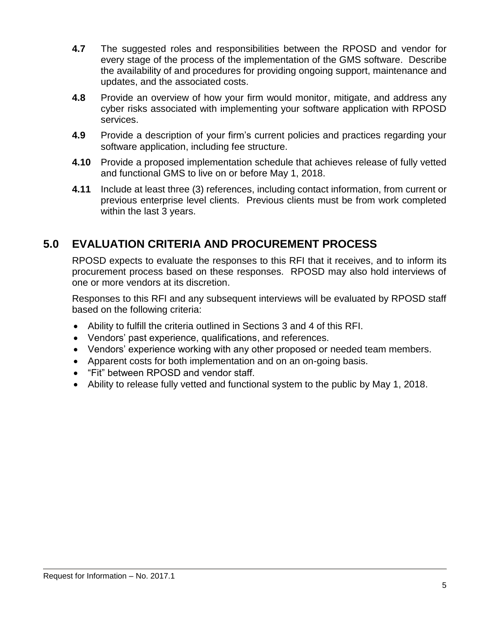- **4.7** The suggested roles and responsibilities between the RPOSD and vendor for every stage of the process of the implementation of the GMS software. Describe the availability of and procedures for providing ongoing support, maintenance and updates, and the associated costs.
- **4.8** Provide an overview of how your firm would monitor, mitigate, and address any cyber risks associated with implementing your software application with RPOSD services.
- **4.9** Provide a description of your firm's current policies and practices regarding your software application, including fee structure.
- **4.10** Provide a proposed implementation schedule that achieves release of fully vetted and functional GMS to live on or before May 1, 2018.
- **4.11** Include at least three (3) references, including contact information, from current or previous enterprise level clients. Previous clients must be from work completed within the last 3 years.

## **5.0 EVALUATION CRITERIA AND PROCUREMENT PROCESS**

RPOSD expects to evaluate the responses to this RFI that it receives, and to inform its procurement process based on these responses. RPOSD may also hold interviews of one or more vendors at its discretion.

Responses to this RFI and any subsequent interviews will be evaluated by RPOSD staff based on the following criteria:

- Ability to fulfill the criteria outlined in Sections 3 and 4 of this RFI.
- Vendors' past experience, qualifications, and references.
- Vendors' experience working with any other proposed or needed team members.
- Apparent costs for both implementation and on an on-going basis.
- "Fit" between RPOSD and vendor staff.
- Ability to release fully vetted and functional system to the public by May 1, 2018.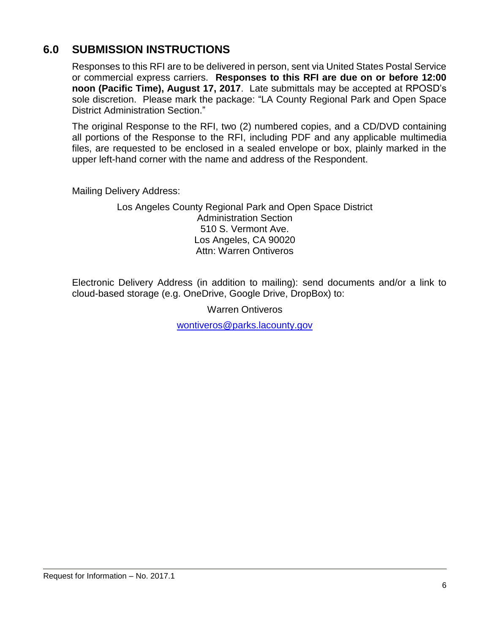## **6.0 SUBMISSION INSTRUCTIONS**

Responses to this RFI are to be delivered in person, sent via United States Postal Service or commercial express carriers. **Responses to this RFI are due on or before 12:00 noon (Pacific Time), August 17, 2017**. Late submittals may be accepted at RPOSD's sole discretion. Please mark the package: "LA County Regional Park and Open Space District Administration Section."

The original Response to the RFI, two (2) numbered copies, and a CD/DVD containing all portions of the Response to the RFI, including PDF and any applicable multimedia files, are requested to be enclosed in a sealed envelope or box, plainly marked in the upper left-hand corner with the name and address of the Respondent.

Mailing Delivery Address:

Los Angeles County Regional Park and Open Space District Administration Section 510 S. Vermont Ave. Los Angeles, CA 90020 Attn: Warren Ontiveros

Electronic Delivery Address (in addition to mailing): send documents and/or a link to cloud-based storage (e.g. OneDrive, Google Drive, DropBox) to:

Warren Ontiveros

[wontiveros@parks.lacounty.gov](mailto:wontiveros@parks.lacounty.gov)